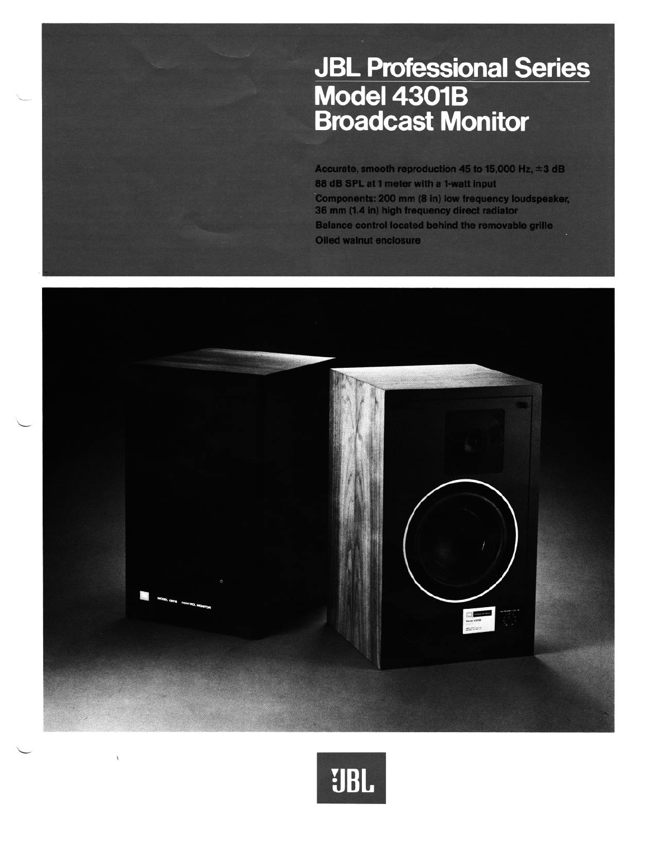# **JBL Professional Series<br>Model 4301B<br>Broadcast Monitor**

Accurate, smooth reproduction 45 to 15,000 Hz,  $\pm 3$  dB 88 dB SPL at 1 meter with a 1-watt input Components: 200 mm (8 in) low frequency loudspeaker, 36 mm (1.4 in) high frequency direct radiator Balance control located behind the removable grille Oiled walnut enclosure



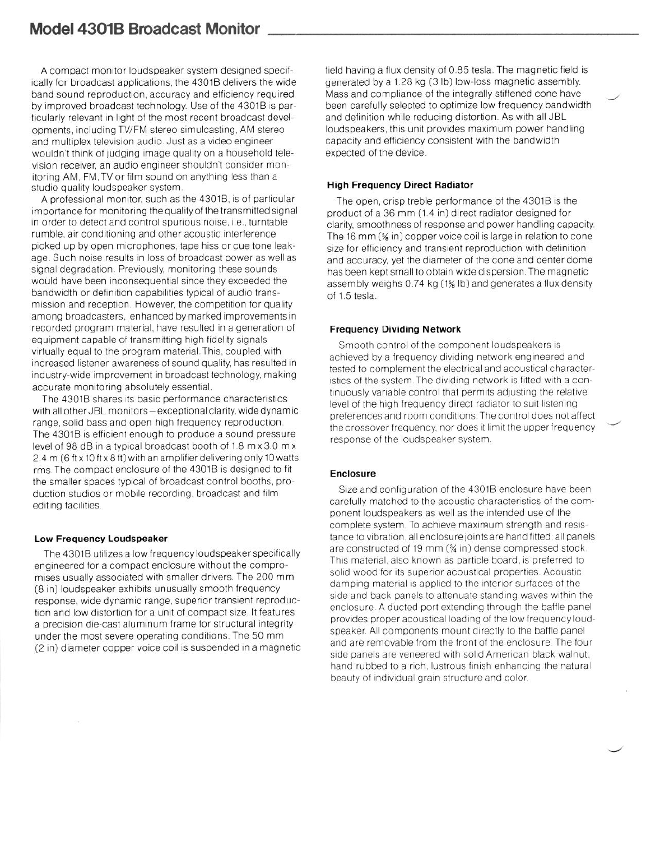A compact monitor loudspeaker system designed specifically for broadcast applications, the 4301B delivers the wide band sound reproduction, accuracy and efficiency required by improved broadcast technology. Use of the 4301B is particularly relevant in light of the most recent broadcast developments, including TV/FM stereo srmulcasting, AM stereo and multiplex television audio. Just as a video engineer wouldn't think of judging image quality on a household television receiver, an audio engineer shouldn't consider monitoring AM, FM, TV or film sound on anything less than a studio quality loudspeaker system.

A professional monitor, such as the 4301B, is of particular importance for monitoring the quality of the transmitted signal in order to detect and control spurious noise, i.e., turntable rumble, air conditioning and other acoustic interference picked up by open microphones, tape hiss or cue tone leakage Such noise results in loss of broadcast power as well as signal degradation. Previously, monitoring these sounds would have been inconsequential since they exceeded the bandwidth or definition capabilities typical of audio transmission and reception. However, the competition for quality among broadcasters, enhanced by marked improvements in recorded program material, have resulted in a generation of equipment capable of transmitting high fidelity signals virtually equal to the program material. This, coupled with increased listener awareness of sound quality, has resulted in industry-wide improvement in broadcast technology, making accurate monitoring absolutely essential

The 4301B shares its basic performance characteristics with all other JBL monitors-exceptional clarity, wide dynamic range, solid bass and open high frequency reproduction The 4301B is efficient enough to produce a sound pressure level of 98 dB in a typical broadcast booth of 1.8 m x 3.0 m x 2 4 m (6 ft x 10 ft x 8 ft) with an amplifier delivering only 10 watts rms The compact enclosure of the 4301B IS designed to fit the smaller spaces typical of broadcast control booths, production studios or mobile recording, broadcast and film editing facilities

### **Low Frequency Loudspeaker**

The 4301B utilizes a low frequency loudspeaker specifically engineered for a compact enclosure without the compromises usually associated with smaller drivers The 200 mm **(8** In) loudspeaker exhibits unusually smooth frequency response, wide dynamic range, superior transient reproduction and low distortion for a unit of compact size. It features a precision die-cast aluminum frame for structural integrity under the most severe operating conditions The 50 mm **(2** In) diameter copper voice coil IS suspended in a magnetic field having a flux density of 0.85 tesla. The magnetic field is generated by a 1.28 kg (3 lb) low-loss magnetic assembly. Mass and compliance of the integrally stiffened cone have been carefully selected to optimize low frequency bandwidth and definition while reducing distortion. As with all JBL loudspeakers, this unit provides maximum power handling capacity and efficiency consistent with the bandwidth expected of the device.

### **High Frequency Direct Radiator**

The open, crisp treble performance of the 43018 is the product of a 36 mm (1.4 in) direct radiator designed for clarity, smoothness of response and power handling capacity. The 16 mm (% in) copper voice coil is large in relation to cone size for efficiency and transient reproduction with definition and accuracy, yet the diameter of the cone and center dome has been kept small to obtain wide dispersion. The magnetic assembly weighs 0.74 kg (1% lb) and generates a flux density of 1.5 tesla.

## **Frequency Dividing Network**

Smooth control of the component loudspeakers is achieved by a frequency dividing network engineered and tested to complement the electrical and acoustical characteristics of the system.The dividing network is fitted with a continuously variable control that permits adjusting the relative level of the high frequency direct radiator to suit listening preferences and room conditions. The control does not affect the crossover frequency, nor does it limit the upper frequency response of the loudspeaker system.

# **Enclosure**

Size and configuration of the 4301B enclosure have been carefully matched to the acoustic characteristics of the component loudspeakers as well as the intended use of the complete system. To achieve maximum strength and resistance to vibration, all enclosure joints are hand fitted; all panels are constructed of 19 mm (% in) dense compressed stock. This material, also known as particle board, is preferred to solid wood for its superior acoustical properties. Acoustic damping material is applied to the interior surfaces of the side and back panels to attenuate standing waves within the enclosure. A ducted port extending through the baffle panel provides proper acoustical loading of the low frequency loudspeaker. All components mount directly to the baffle panel and are removable from the front of the enclosure. The four side panels are veneered with solid American black walnut, hand rubbed to a rich, lustrous finish enhancing the natural beauty of individual grain structure and color.